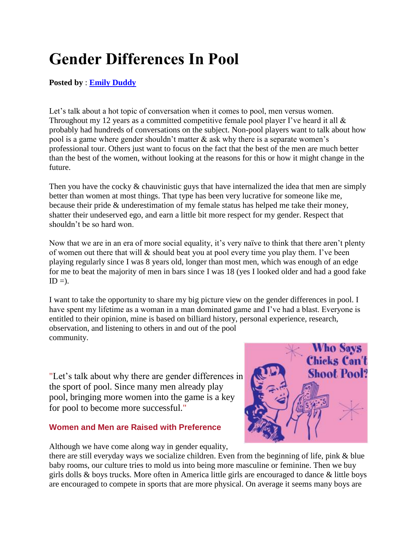## **Gender Differences In Pool**

## **Posted by** : **[Emily Duddy](http://www.pooldawg.com/article/category/emily-duddy)**

Let's talk about a hot topic of conversation when it comes to pool, men versus women. Throughout my 12 years as a committed competitive female pool player I've heard it all & probably had hundreds of conversations on the subject. Non-pool players want to talk about how pool is a game where gender shouldn't matter & ask why there is a separate women's professional tour. Others just want to focus on the fact that the best of the men are much better than the best of the women, without looking at the reasons for this or how it might change in the future.

Then you have the cocky & chauvinistic guys that have internalized the idea that men are simply better than women at most things. That type has been very lucrative for someone like me, because their pride & underestimation of my female status has helped me take their money, shatter their undeserved ego, and earn a little bit more respect for my gender. Respect that shouldn't be so hard won.

Now that we are in an era of more social equality, it's very naïve to think that there aren't plenty of women out there that will & should beat you at pool every time you play them. I've been playing regularly since I was 8 years old, longer than most men, which was enough of an edge for me to beat the majority of men in bars since I was 18 (yes I looked older and had a good fake  $ID =$ ).

I want to take the opportunity to share my big picture view on the gender differences in pool. I have spent my lifetime as a woman in a man dominated game and I've had a blast. Everyone is entitled to their opinion, mine is based on billiard history, personal experience, research, observation, and listening to others in and out of the pool community.

"Let's talk about why there are gender differences in the sport of pool. Since many men already play pool, bringing more women into the game is a key for pool to become more successful."

## **Women and Men are Raised with Preference**



Although we have come along way in gender equality,

there are still everyday ways we socialize children. Even from the beginning of life, pink & blue baby rooms, our culture tries to mold us into being more masculine or feminine. Then we buy girls dolls & boys trucks. More often in America little girls are encouraged to dance  $\&$  little boys are encouraged to compete in sports that are more physical. On average it seems many boys are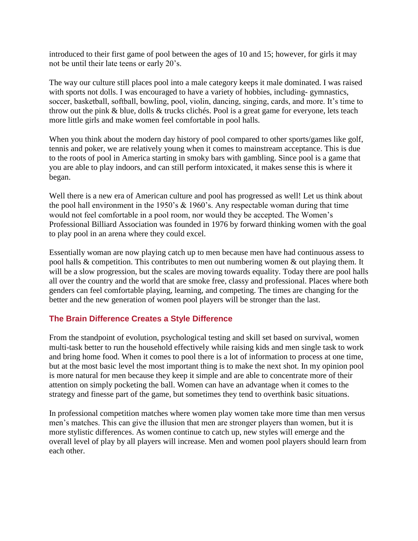introduced to their first game of pool between the ages of 10 and 15; however, for girls it may not be until their late teens or early 20's.

The way our culture still places pool into a male category keeps it male dominated. I was raised with sports not dolls. I was encouraged to have a variety of hobbies, including-gymnastics, soccer, basketball, softball, bowling, pool, violin, dancing, singing, cards, and more. It's time to throw out the pink & blue, dolls & trucks clichés. Pool is a great game for everyone, lets teach more little girls and make women feel comfortable in pool halls.

When you think about the modern day history of pool compared to other sports/games like golf, tennis and poker, we are relatively young when it comes to mainstream acceptance. This is due to the roots of pool in America starting in smoky bars with gambling. Since pool is a game that you are able to play indoors, and can still perform intoxicated, it makes sense this is where it began.

Well there is a new era of American culture and pool has progressed as well! Let us think about the pool hall environment in the 1950's  $&$  1960's. Any respectable woman during that time would not feel comfortable in a pool room, nor would they be accepted. The Women's Professional Billiard Association was founded in 1976 by forward thinking women with the goal to play pool in an arena where they could excel.

Essentially woman are now playing catch up to men because men have had continuous assess to pool halls & competition. This contributes to men out numbering women & out playing them. It will be a slow progression, but the scales are moving towards equality. Today there are pool halls all over the country and the world that are smoke free, classy and professional. Places where both genders can feel comfortable playing, learning, and competing. The times are changing for the better and the new generation of women pool players will be stronger than the last.

## **The Brain Difference Creates a Style Difference**

From the standpoint of evolution, psychological testing and skill set based on survival, women multi-task better to run the household effectively while raising kids and men single task to work and bring home food. When it comes to pool there is a lot of information to process at one time, but at the most basic level the most important thing is to make the next shot. In my opinion pool is more natural for men because they keep it simple and are able to concentrate more of their attention on simply pocketing the ball. Women can have an advantage when it comes to the strategy and finesse part of the game, but sometimes they tend to overthink basic situations.

In professional competition matches where women play women take more time than men versus men's matches. This can give the illusion that men are stronger players than women, but it is more stylistic differences. As women continue to catch up, new styles will emerge and the overall level of play by all players will increase. Men and women pool players should learn from each other.